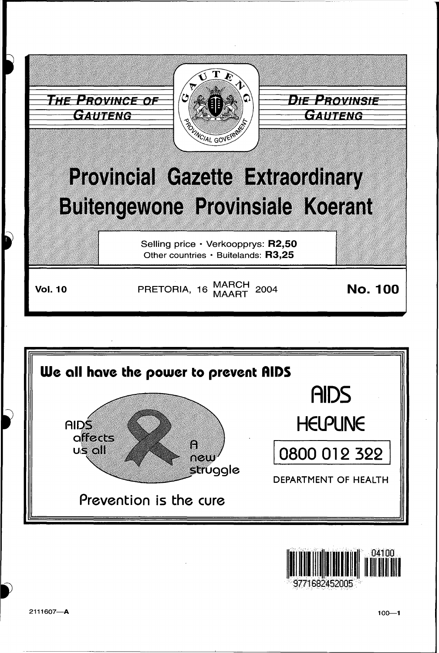





9771682452005